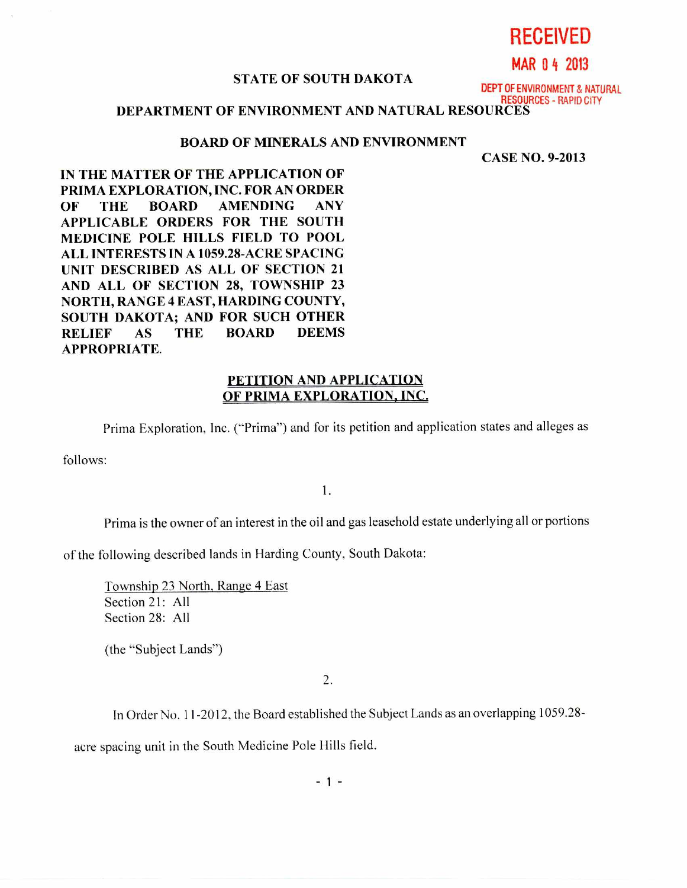**RECEIVED** 

**MAR 0 4 2013** 

## **STATE OF SOUTH DAKOTA**

DEPT OF ENVIRONMENT & NATURAL RESOURCES - RAPID CITY

## **DEPARTMENT OF ENVIRONMENT** AND NATURAL RESOURCES

## **BOARD OF MINERALS AND** ENVIRONMENT

CASE NO. 9-2013

**IN THE MATTER OF THE APPLICATION OF PRIMA EXPLORATION, INC. FOR AN ORDER OF THE BOARD AMENDING ANY APPLICABLE ORDERS FOR THE SOUTH MEDICINE POLE HILLS FIELD TO POOL ALL INTERESTS IN A 1059.28-ACRE SPACING UNIT DESCRIBED AS ALL OF SECTION 21 AND ALL OF SECTION 28, TOWNSHIP 23 NORTH, RANGE 4 EAST, HARDING COUNTY, SOUTH DAKOTA; AND FOR SUCH OTHER RELIEF AS THE BOARD DEEMS APPROPRIATE.** 

## **PETITION** AND APPLICATION OF PRIMA EXPLORATION, INC.

Prima Exploration, Inc. ("Prima") and for its petition and application states and alleges as

follows:

1.

Prima is the owner of an interest in the oil and gas leasehold estate underlying all or portions

of the following described lands in Harding County, South Dakota:

Township 23 North, Range 4 East Section 21: All Section 28: All

(the "Subject Lands")

2.

In Order No. 11-2012, the Board established the Subject Lands as an overlapping 1059.28-

acre spacing unit in the South Medicine Pole Hills field.

 $-1 -$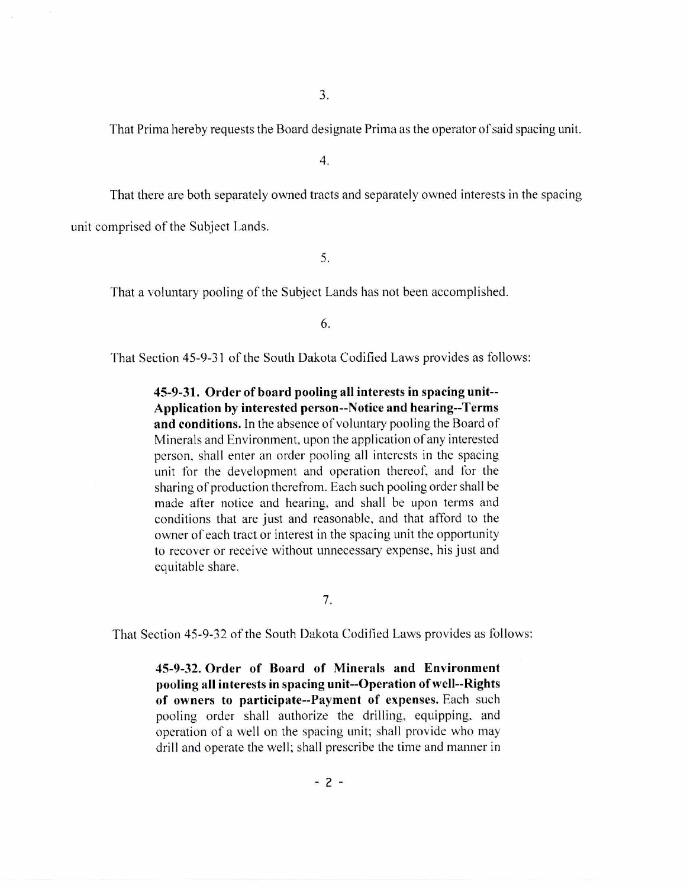That Prima hereby requests the Board designate Prima as the operator of said spacing unit.

4.

That there are both separately owned tracts and separately owned interests in the spacing unit comprised of the Subject Lands.

5.

That a voluntary pooling of the Subject Lands has not been accomplished.

6.

That Section 45-9-31 of the South Dakota Codified Laws provides as follows:

**45-9-31. Order of board pooling all interests in spacing unit-- Application by interested person--Notice and hearing--Terms and conditions.** In the absence of voluntary pooling the Board of Minerals and Environment, upon the application of any interested person, shall enter an order pooling all interests in the spacing unit for the development and operation thereof, and for the sharing of production therefrom. Each such pooling order shall be made after notice and hearing, and shall be upon terms and conditions that are just and reasonable, and that afford to the owner of each tract or interest in the spacing unit the opportunity to recover or receive without unnecessary expense, his just and equitable share.

7.

That Section 45-9-32 of the South Dakota Codified Laws provides as follows:

**45-9-32. Order of Board of Minerals and Environment pooling all interests in spacing unit--Operation of well--Rights of owners to participate--Payment of expenses.** Each such pooling order shall authorize the drilling, equipping, and operation of a well on the spacing unit; shall provide who may drill and operate the well; shall prescribe the time and manner in

**- 2 -**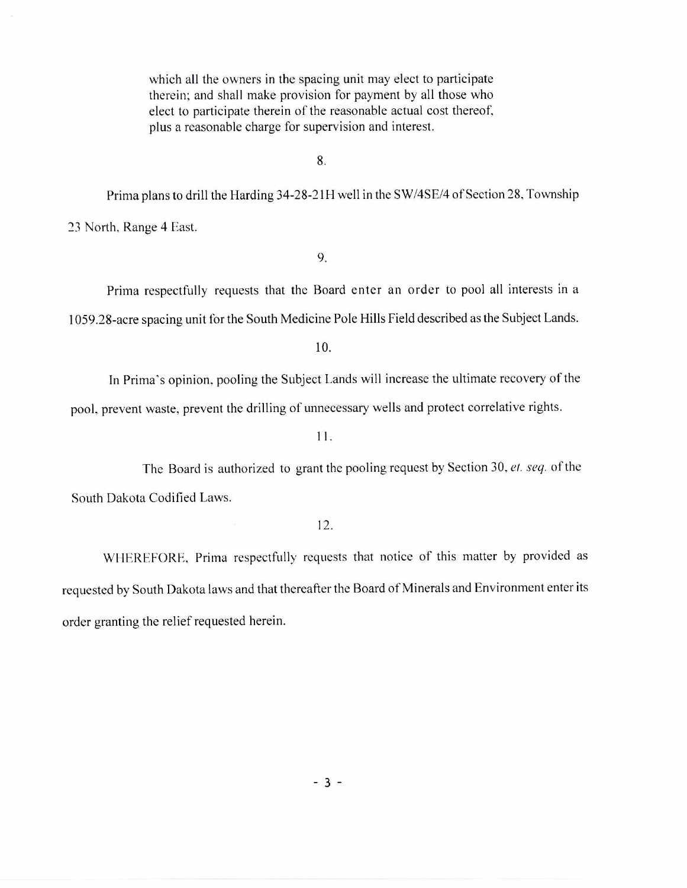which all the owners in the spacing unit may elect to participate therein; and shall make provision for payment by all those who elect to participate therein of the reasonable actual cost thereof, plus a reasonable charge for supervision and interest.

8.

Prima plans to drill the Harding 34-28-21H well in the SW/4SE/4 of Section 28, Township 23 North, Range 4 East.

9.

Prima respectfully requests that the Board enter an order to pool all interests in a 1059.28-acre spacing unit for the South Medicine Pole Hills Field described as the Subject Lands.

10.

In Prima's opinion, pooling the Subject Lands will increase the ultimate recovery of the pool, prevent waste, prevent the drilling of unnecessary wells and protect correlative rights.

11.

The Board is authorized to grant the pooling request by Section 30. *el. seq.* of the South Dakota Codified Laws.

12.

WHEREFORE, Prima respectfully requests that notice of this matter by provided as requested by South Dakota laws and that thereafter the Board of Minerals and Environment enter its order granting the relief requested herein.